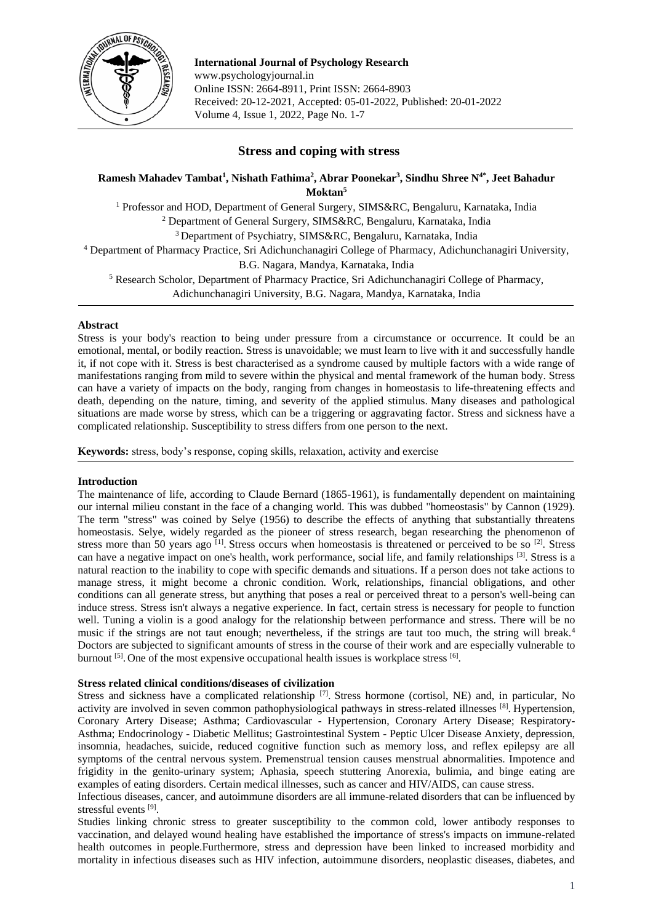

**International Journal of Psychology Research** www.psychologyjournal.in Online ISSN: 2664-8911, Print ISSN: 2664-8903 Received: 20-12-2021, Accepted: 05-01-2022, Published: 20-01-2022 Volume 4, Issue 1, 2022, Page No. 1-7

# **Stress and coping with stress**

# **Ramesh Mahadev Tambat<sup>1</sup> , Nishath Fathima<sup>2</sup> , Abrar Poonekar<sup>3</sup> , Sindhu Shree N4\* , Jeet Bahadur Moktan<sup>5</sup>**

 Professor and HOD, Department of General Surgery, SIMS&RC, Bengaluru, Karnataka, India Department of General Surgery, SIMS&RC, Bengaluru, Karnataka, India Department of Psychiatry, SIMS&RC, Bengaluru, Karnataka, India Department of Pharmacy Practice, Sri Adichunchanagiri College of Pharmacy, Adichunchanagiri University, B.G. Nagara, Mandya, Karnataka, India Research Scholor, Department of Pharmacy Practice, Sri Adichunchanagiri College of Pharmacy,

Adichunchanagiri University, B.G. Nagara, Mandya, Karnataka, India

## **Abstract**

Stress is your body's reaction to being under pressure from a circumstance or occurrence. It could be an emotional, mental, or bodily reaction. Stress is unavoidable; we must learn to live with it and successfully handle it, if not cope with it. Stress is best characterised as a syndrome caused by multiple factors with a wide range of manifestations ranging from mild to severe within the physical and mental framework of the human body. Stress can have a variety of impacts on the body, ranging from changes in homeostasis to life-threatening effects and death, depending on the nature, timing, and severity of the applied stimulus. Many diseases and pathological situations are made worse by stress, which can be a triggering or aggravating factor. Stress and sickness have a complicated relationship. Susceptibility to stress differs from one person to the next.

**Keywords:** stress, body's response, coping skills, relaxation, activity and exercise

## **Introduction**

The maintenance of life, according to Claude Bernard (1865-1961), is fundamentally dependent on maintaining our internal milieu constant in the face of a changing world. This was dubbed "homeostasis" by Cannon (1929). The term "stress" was coined by Selye (1956) to describe the effects of anything that substantially threatens homeostasis. Selye, widely regarded as the pioneer of stress research, began researching the phenomenon of stress more than 50 years ago <sup>[1]</sup>. Stress occurs when homeostasis is threatened or perceived to be so <sup>[2]</sup>. Stress can have a negative impact on one's health, work performance, social life, and family relationships [3]. Stress is a natural reaction to the inability to cope with specific demands and situations. If a person does not take actions to manage stress, it might become a chronic condition. Work, relationships, financial obligations, and other conditions can all generate stress, but anything that poses a real or perceived threat to a person's well-being can induce stress. Stress isn't always a negative experience. In fact, certain stress is necessary for people to function well. Tuning a violin is a good analogy for the relationship between performance and stress. There will be no music if the strings are not taut enough; nevertheless, if the strings are taut too much, the string will break.<sup>4</sup> Doctors are subjected to significant amounts of stress in the course of their work and are especially vulnerable to burnout <sup>[5]</sup>. One of the most expensive occupational health issues is workplace stress <sup>[6]</sup>.

## **Stress related clinical conditions/diseases of civilization**

Stress and sickness have a complicated relationship <sup>[7]</sup>. Stress hormone (cortisol, NE) and, in particular, No activity are involved in seven common pathophysiological pathways in stress-related illnesses [8]. Hypertension, Coronary Artery Disease; Asthma; Cardiovascular - Hypertension, Coronary Artery Disease; Respiratory-Asthma; Endocrinology - Diabetic Mellitus; Gastrointestinal System - Peptic Ulcer Disease Anxiety, depression, insomnia, headaches, suicide, reduced cognitive function such as memory loss, and reflex epilepsy are all symptoms of the central nervous system. Premenstrual tension causes menstrual abnormalities. Impotence and frigidity in the genito-urinary system; Aphasia, speech stuttering Anorexia, bulimia, and binge eating are examples of eating disorders. Certain medical illnesses, such as cancer and HIV/AIDS, can cause stress.

Infectious diseases, cancer, and autoimmune disorders are all immune-related disorders that can be influenced by stressful events<sup>[9]</sup>.

Studies linking chronic stress to greater susceptibility to the common cold, lower antibody responses to vaccination, and delayed wound healing have established the importance of stress's impacts on immune-related health outcomes in people.Furthermore, stress and depression have been linked to increased morbidity and mortality in infectious diseases such as HIV infection, autoimmune disorders, neoplastic diseases, diabetes, and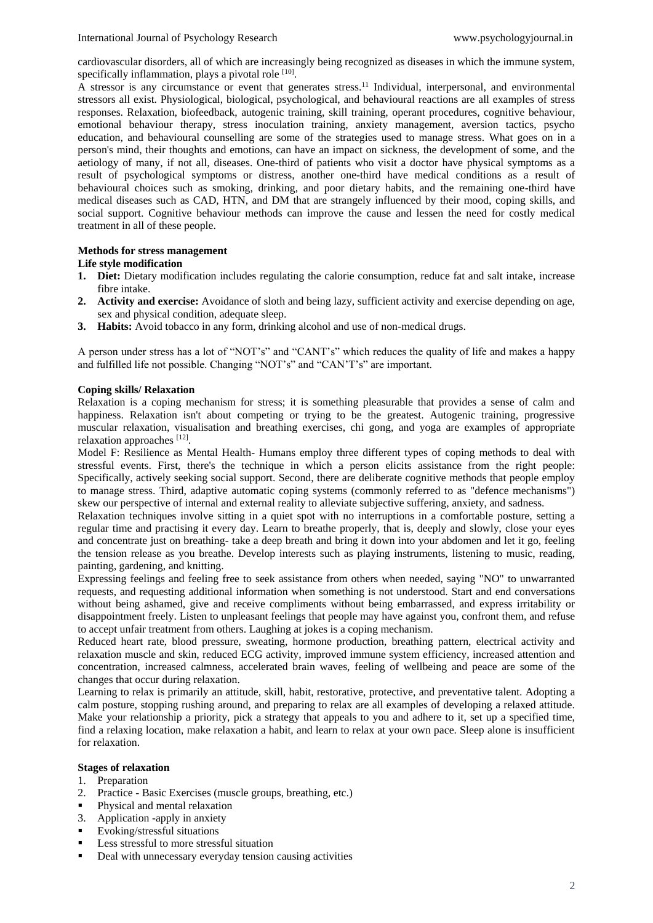cardiovascular disorders, all of which are increasingly being recognized as diseases in which the immune system, specifically inflammation, plays a pivotal role [10].

A stressor is any circumstance or event that generates stress.<sup>11</sup> Individual, interpersonal, and environmental stressors all exist. Physiological, biological, psychological, and behavioural reactions are all examples of stress responses. Relaxation, biofeedback, autogenic training, skill training, operant procedures, cognitive behaviour, emotional behaviour therapy, stress inoculation training, anxiety management, aversion tactics, psycho education, and behavioural counselling are some of the strategies used to manage stress. What goes on in a person's mind, their thoughts and emotions, can have an impact on sickness, the development of some, and the aetiology of many, if not all, diseases. One-third of patients who visit a doctor have physical symptoms as a result of psychological symptoms or distress, another one-third have medical conditions as a result of behavioural choices such as smoking, drinking, and poor dietary habits, and the remaining one-third have medical diseases such as CAD, HTN, and DM that are strangely influenced by their mood, coping skills, and social support. Cognitive behaviour methods can improve the cause and lessen the need for costly medical treatment in all of these people.

## **Methods for stress management**

### **Life style modification**

- **1. Diet:** Dietary modification includes regulating the calorie consumption, reduce fat and salt intake, increase fibre intake.
- **2. Activity and exercise:** Avoidance of sloth and being lazy, sufficient activity and exercise depending on age, sex and physical condition, adequate sleep.
- **3. Habits:** Avoid tobacco in any form, drinking alcohol and use of non-medical drugs.

A person under stress has a lot of "NOT's" and "CANT's" which reduces the quality of life and makes a happy and fulfilled life not possible. Changing "NOT's" and "CAN'T's" are important.

### **Coping skills/ Relaxation**

Relaxation is a coping mechanism for stress; it is something pleasurable that provides a sense of calm and happiness. Relaxation isn't about competing or trying to be the greatest. Autogenic training, progressive muscular relaxation, visualisation and breathing exercises, chi gong, and yoga are examples of appropriate relaxation approaches [12].

Model F: Resilience as Mental Health- Humans employ three different types of coping methods to deal with stressful events. First, there's the technique in which a person elicits assistance from the right people: Specifically, actively seeking social support. Second, there are deliberate cognitive methods that people employ to manage stress. Third, adaptive automatic coping systems (commonly referred to as "defence mechanisms") skew our perspective of internal and external reality to alleviate subjective suffering, anxiety, and sadness.

Relaxation techniques involve sitting in a quiet spot with no interruptions in a comfortable posture, setting a regular time and practising it every day. Learn to breathe properly, that is, deeply and slowly, close your eyes and concentrate just on breathing- take a deep breath and bring it down into your abdomen and let it go, feeling the tension release as you breathe. Develop interests such as playing instruments, listening to music, reading, painting, gardening, and knitting.

Expressing feelings and feeling free to seek assistance from others when needed, saying "NO" to unwarranted requests, and requesting additional information when something is not understood. Start and end conversations without being ashamed, give and receive compliments without being embarrassed, and express irritability or disappointment freely. Listen to unpleasant feelings that people may have against you, confront them, and refuse to accept unfair treatment from others. Laughing at jokes is a coping mechanism.

Reduced heart rate, blood pressure, sweating, hormone production, breathing pattern, electrical activity and relaxation muscle and skin, reduced ECG activity, improved immune system efficiency, increased attention and concentration, increased calmness, accelerated brain waves, feeling of wellbeing and peace are some of the changes that occur during relaxation.

Learning to relax is primarily an attitude, skill, habit, restorative, protective, and preventative talent. Adopting a calm posture, stopping rushing around, and preparing to relax are all examples of developing a relaxed attitude. Make your relationship a priority, pick a strategy that appeals to you and adhere to it, set up a specified time, find a relaxing location, make relaxation a habit, and learn to relax at your own pace. Sleep alone is insufficient for relaxation.

## **Stages of relaxation**

### 1. Preparation

- 2. Practice Basic Exercises (muscle groups, breathing, etc.)
- Physical and mental relaxation
- 3. Application -apply in anxiety
- Evoking/stressful situations
- Less stressful to more stressful situation
- Deal with unnecessary everyday tension causing activities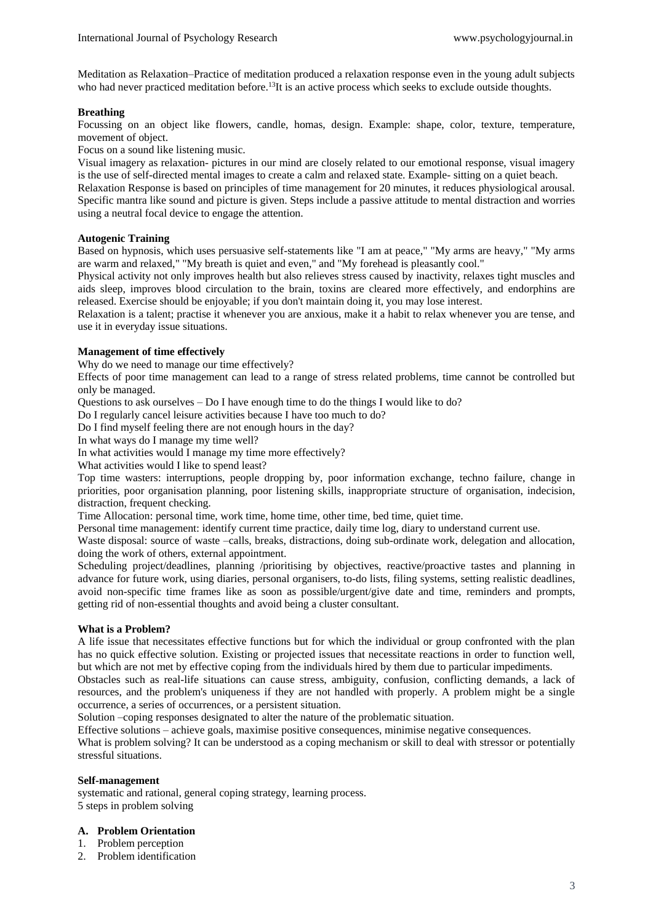Meditation as Relaxation–Practice of meditation produced a relaxation response even in the young adult subjects who had never practiced meditation before.<sup>13</sup>It is an active process which seeks to exclude outside thoughts.

### **Breathing**

Focussing on an object like flowers, candle, homas, design. Example: shape, color, texture, temperature, movement of object.

Focus on a sound like listening music.

Visual imagery as relaxation- pictures in our mind are closely related to our emotional response, visual imagery is the use of self-directed mental images to create a calm and relaxed state. Example- sitting on a quiet beach.

Relaxation Response is based on principles of time management for 20 minutes, it reduces physiological arousal. Specific mantra like sound and picture is given. Steps include a passive attitude to mental distraction and worries using a neutral focal device to engage the attention.

### **Autogenic Training**

Based on hypnosis, which uses persuasive self-statements like "I am at peace," "My arms are heavy," "My arms are warm and relaxed," "My breath is quiet and even," and "My forehead is pleasantly cool."

Physical activity not only improves health but also relieves stress caused by inactivity, relaxes tight muscles and aids sleep, improves blood circulation to the brain, toxins are cleared more effectively, and endorphins are released. Exercise should be enjoyable; if you don't maintain doing it, you may lose interest.

Relaxation is a talent; practise it whenever you are anxious, make it a habit to relax whenever you are tense, and use it in everyday issue situations.

### **Management of time effectively**

Why do we need to manage our time effectively?

Effects of poor time management can lead to a range of stress related problems, time cannot be controlled but only be managed.

Questions to ask ourselves – Do I have enough time to do the things I would like to do?

Do I regularly cancel leisure activities because I have too much to do?

Do I find myself feeling there are not enough hours in the day?

In what ways do I manage my time well?

In what activities would I manage my time more effectively?

What activities would I like to spend least?

Top time wasters: interruptions, people dropping by, poor information exchange, techno failure, change in priorities, poor organisation planning, poor listening skills, inappropriate structure of organisation, indecision, distraction, frequent checking.

Time Allocation: personal time, work time, home time, other time, bed time, quiet time.

Personal time management: identify current time practice, daily time log, diary to understand current use.

Waste disposal: source of waste –calls, breaks, distractions, doing sub-ordinate work, delegation and allocation, doing the work of others, external appointment.

Scheduling project/deadlines, planning /prioritising by objectives, reactive/proactive tastes and planning in advance for future work, using diaries, personal organisers, to-do lists, filing systems, setting realistic deadlines, avoid non-specific time frames like as soon as possible/urgent/give date and time, reminders and prompts, getting rid of non-essential thoughts and avoid being a cluster consultant.

#### **What is a Problem?**

A life issue that necessitates effective functions but for which the individual or group confronted with the plan has no quick effective solution. Existing or projected issues that necessitate reactions in order to function well, but which are not met by effective coping from the individuals hired by them due to particular impediments.

Obstacles such as real-life situations can cause stress, ambiguity, confusion, conflicting demands, a lack of resources, and the problem's uniqueness if they are not handled with properly. A problem might be a single occurrence, a series of occurrences, or a persistent situation.

Solution –coping responses designated to alter the nature of the problematic situation.

Effective solutions – achieve goals, maximise positive consequences, minimise negative consequences.

What is problem solving? It can be understood as a coping mechanism or skill to deal with stressor or potentially stressful situations.

#### **Self-management**

systematic and rational, general coping strategy, learning process. 5 steps in problem solving

#### **A. Problem Orientation**

- 1. Problem perception
- 2. Problem identification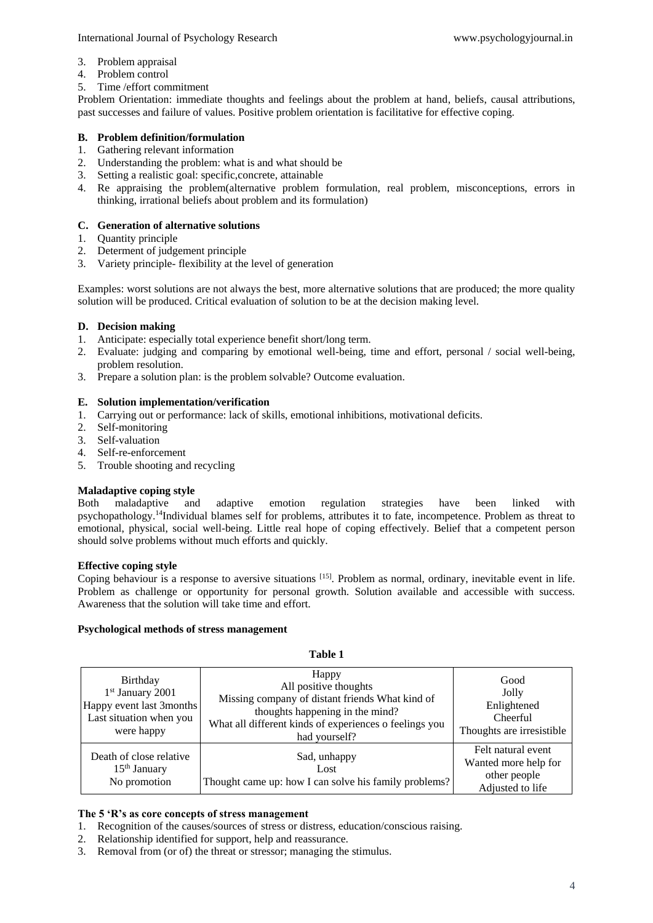- 3. Problem appraisal
- 4. Problem control
- 5. Time /effort commitment

Problem Orientation: immediate thoughts and feelings about the problem at hand, beliefs, causal attributions, past successes and failure of values. Positive problem orientation is facilitative for effective coping.

# **B. Problem definition/formulation**

- 1. Gathering relevant information
- 2. Understanding the problem: what is and what should be
- 3. Setting a realistic goal: specific,concrete, attainable
- 4. Re appraising the problem(alternative problem formulation, real problem, misconceptions, errors in thinking, irrational beliefs about problem and its formulation)

## **C. Generation of alternative solutions**

- 1. Quantity principle
- 2. Determent of judgement principle
- 3. Variety principle- flexibility at the level of generation

Examples: worst solutions are not always the best, more alternative solutions that are produced; the more quality solution will be produced. Critical evaluation of solution to be at the decision making level.

## **D. Decision making**

- 1. Anticipate: especially total experience benefit short/long term.
- 2. Evaluate: judging and comparing by emotional well-being, time and effort, personal / social well-being, problem resolution.
- 3. Prepare a solution plan: is the problem solvable? Outcome evaluation.

## **E. Solution implementation/verification**

- 1. Carrying out or performance: lack of skills, emotional inhibitions, motivational deficits.
- 2. Self-monitoring
- 3. Self-valuation
- 4. Self-re-enforcement
- 5. Trouble shooting and recycling

# **Maladaptive coping style**

Both maladaptive and adaptive emotion regulation strategies have been linked with psychopathology.<sup>14</sup>Individual blames self for problems, attributes it to fate, incompetence. Problem as threat to emotional, physical, social well-being. Little real hope of coping effectively. Belief that a competent person should solve problems without much efforts and quickly.

## **Effective coping style**

Coping behaviour is a response to aversive situations [15]. Problem as normal, ordinary, inevitable event in life. Problem as challenge or opportunity for personal growth. Solution available and accessible with success. Awareness that the solution will take time and effort.

## **Psychological methods of stress management**

| Birthday<br>$1st$ January 2001<br>Happy event last 3months<br>Last situation when you<br>were happy | Happy<br>All positive thoughts<br>Missing company of distant friends What kind of<br>thoughts happening in the mind?<br>What all different kinds of experiences o feelings you<br>had yourself? | Good<br>Jolly<br>Enlightened<br>Cheerful<br>Thoughts are irresistible.         |
|-----------------------------------------------------------------------------------------------------|-------------------------------------------------------------------------------------------------------------------------------------------------------------------------------------------------|--------------------------------------------------------------------------------|
| Death of close relative<br>$15th$ January<br>No promotion                                           | Sad, unhappy<br>Lost<br>Thought came up: how I can solve his family problems?                                                                                                                   | Felt natural event<br>Wanted more help for<br>other people<br>Adjusted to life |

## **Table 1**

#### **The 5 'R's as core concepts of stress management**

- 1. Recognition of the causes/sources of stress or distress, education/conscious raising.
- 2. Relationship identified for support, help and reassurance.
- 3. Removal from (or of) the threat or stressor; managing the stimulus.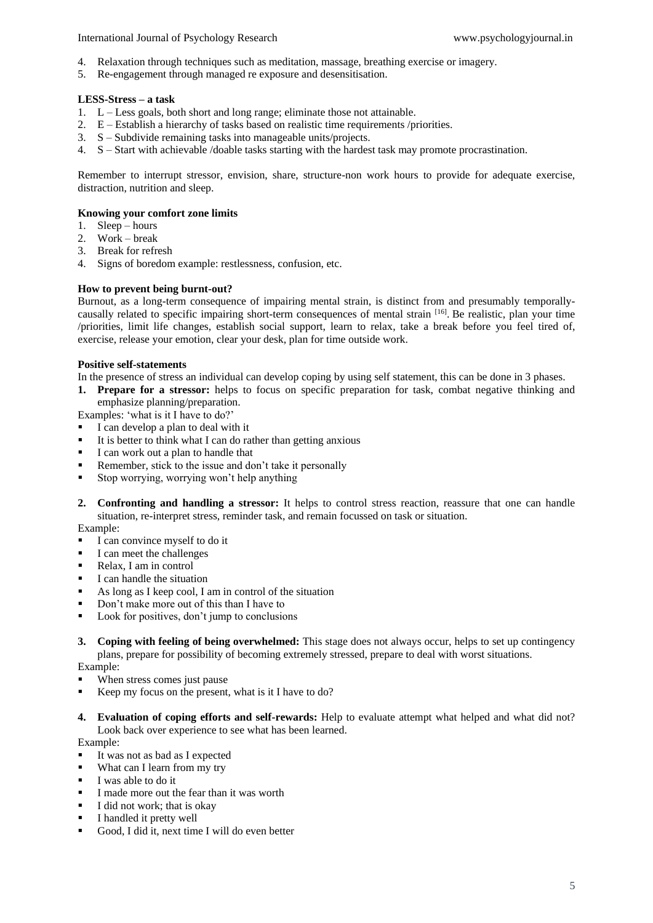International Journal of Psychology Research www.psychologyjournal.in

- 4. Relaxation through techniques such as meditation, massage, breathing exercise or imagery.
- 5. Re-engagement through managed re exposure and desensitisation.

## **LESS-Stress – a task**

- 1. L Less goals, both short and long range; eliminate those not attainable.
- 2. E Establish a hierarchy of tasks based on realistic time requirements /priorities.
- 3. S Subdivide remaining tasks into manageable units/projects.
- 4. S Start with achievable /doable tasks starting with the hardest task may promote procrastination.

Remember to interrupt stressor, envision, share, structure-non work hours to provide for adequate exercise, distraction, nutrition and sleep.

## **Knowing your comfort zone limits**

- 1. Sleep hours
- 2. Work break
- 3. Break for refresh
- 4. Signs of boredom example: restlessness, confusion, etc.

## **How to prevent being burnt-out?**

Burnout, as a long-term consequence of impairing mental strain, is distinct from and presumably temporallycausally related to specific impairing short-term consequences of mental strain [16]. Be realistic, plan your time /priorities, limit life changes, establish social support, learn to relax, take a break before you feel tired of, exercise, release your emotion, clear your desk, plan for time outside work.

## **Positive self-statements**

In the presence of stress an individual can develop coping by using self statement, this can be done in 3 phases.

**1. Prepare for a stressor:** helps to focus on specific preparation for task, combat negative thinking and emphasize planning/preparation.

Examples: 'what is it I have to do?'

- I can develop a plan to deal with it
- It is better to think what I can do rather than getting anxious
- I can work out a plan to handle that
- Remember, stick to the issue and don't take it personally
- Stop worrying, worrying won't help anything

**2. Confronting and handling a stressor:** It helps to control stress reaction, reassure that one can handle situation, re-interpret stress, reminder task, and remain focussed on task or situation.

Example:

- I can convince myself to do it
- I can meet the challenges
- Relax, I am in control
- I can handle the situation
- As long as I keep cool, I am in control of the situation
- Don't make more out of this than I have to
- Look for positives, don't jump to conclusions
- **3. Coping with feeling of being overwhelmed:** This stage does not always occur, helps to set up contingency plans, prepare for possibility of becoming extremely stressed, prepare to deal with worst situations.

Example:

- When stress comes just pause
- Keep my focus on the present, what is it I have to do?
- **4. Evaluation of coping efforts and self-rewards:** Help to evaluate attempt what helped and what did not? Look back over experience to see what has been learned.

Example:

- It was not as bad as I expected
- What can I learn from my try
- I was able to do it
- I made more out the fear than it was worth
- I did not work; that is okay
- I handled it pretty well
- Good, I did it, next time I will do even better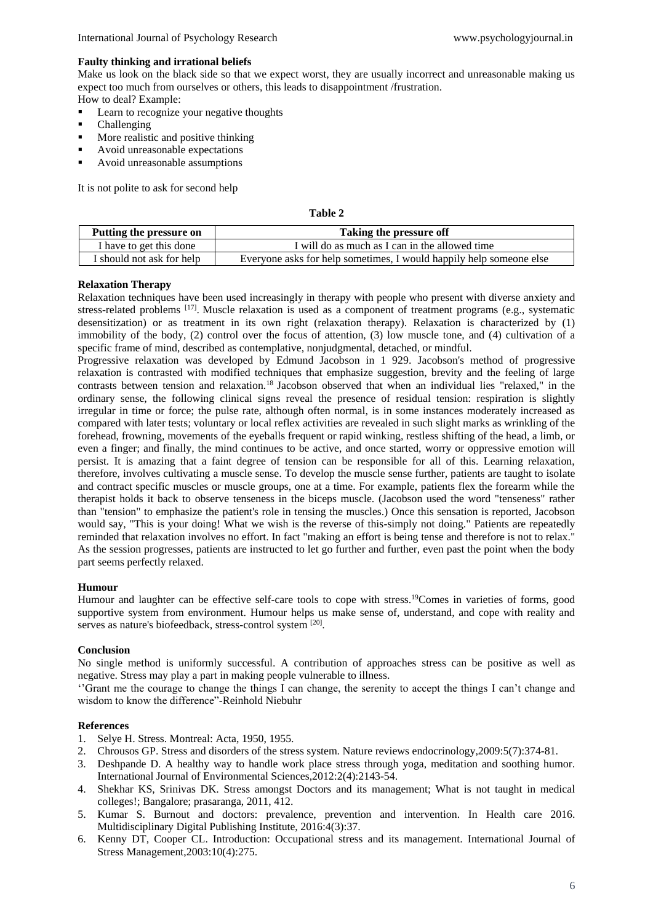## **Faulty thinking and irrational beliefs**

Make us look on the black side so that we expect worst, they are usually incorrect and unreasonable making us expect too much from ourselves or others, this leads to disappointment /frustration. How to deal? Example:

- Learn to recognize your negative thoughts
- Challenging
- More realistic and positive thinking
- Avoid unreasonable expectations
- Avoid unreasonable assumptions

It is not polite to ask for second help

| <br><br>ш<br>. . |  |
|------------------|--|
|------------------|--|

| Putting the pressure on     | Taking the pressure off                                             |
|-----------------------------|---------------------------------------------------------------------|
| I have to get this done     | I will do as much as I can in the allowed time                      |
| I should not ask for help - | Everyone asks for help sometimes, I would happily help someone else |

#### **Relaxation Therapy**

Relaxation techniques have been used increasingly in therapy with people who present with diverse anxiety and stress-related problems [17]. Muscle relaxation is used as a component of treatment programs (e.g., systematic desensitization) or as treatment in its own right (relaxation therapy). Relaxation is characterized by (1) immobility of the body, (2) control over the focus of attention, (3) low muscle tone, and (4) cultivation of a specific frame of mind, described as contemplative, nonjudgmental, detached, or mindful.

Progressive relaxation was developed by Edmund Jacobson in 1 929. Jacobson's method of progressive relaxation is contrasted with modified techniques that emphasize suggestion, brevity and the feeling of large contrasts between tension and relaxation.<sup>18</sup> Jacobson observed that when an individual lies "relaxed," in the ordinary sense, the following clinical signs reveal the presence of residual tension: respiration is slightly irregular in time or force; the pulse rate, although often normal, is in some instances moderately increased as compared with later tests; voluntary or local reflex activities are revealed in such slight marks as wrinkling of the forehead, frowning, movements of the eyeballs frequent or rapid winking, restless shifting of the head, a limb, or even a finger; and finally, the mind continues to be active, and once started, worry or oppressive emotion will persist. It is amazing that a faint degree of tension can be responsible for all of this. Learning relaxation, therefore, involves cultivating a muscle sense. To develop the muscle sense further, patients are taught to isolate and contract specific muscles or muscle groups, one at a time. For example, patients flex the forearm while the therapist holds it back to observe tenseness in the biceps muscle. (Jacobson used the word "tenseness" rather than "tension" to emphasize the patient's role in tensing the muscles.) Once this sensation is reported, Jacobson would say, "This is your doing! What we wish is the reverse of this-simply not doing." Patients are repeatedly reminded that relaxation involves no effort. In fact "making an effort is being tense and therefore is not to relax." As the session progresses, patients are instructed to let go further and further, even past the point when the body part seems perfectly relaxed.

#### **Humour**

Humour and laughter can be effective self-care tools to cope with stress.<sup>19</sup>Comes in varieties of forms, good supportive system from environment. Humour helps us make sense of, understand, and cope with reality and serves as nature's biofeedback, stress-control system [20].

## **Conclusion**

No single method is uniformly successful. A contribution of approaches stress can be positive as well as negative. Stress may play a part in making people vulnerable to illness.

''Grant me the courage to change the things I can change, the serenity to accept the things I can't change and wisdom to know the difference"-Reinhold Niebuhr

#### **References**

- 1. Selye H. Stress. Montreal: Acta, 1950, 1955.
- 2. Chrousos GP. Stress and disorders of the stress system. Nature reviews endocrinology,2009:5(7):374-81.
- 3. Deshpande D. A healthy way to handle work place stress through yoga, meditation and soothing humor. International Journal of Environmental Sciences,2012:2(4):2143-54.
- 4. Shekhar KS, Srinivas DK. Stress amongst Doctors and its management; What is not taught in medical colleges!; Bangalore; prasaranga, 2011, 412.
- 5. Kumar S. Burnout and doctors: prevalence, prevention and intervention. In Health care 2016. Multidisciplinary Digital Publishing Institute, 2016:4(3):37.
- 6. Kenny DT, Cooper CL. Introduction: Occupational stress and its management. International Journal of Stress Management,2003:10(4):275.